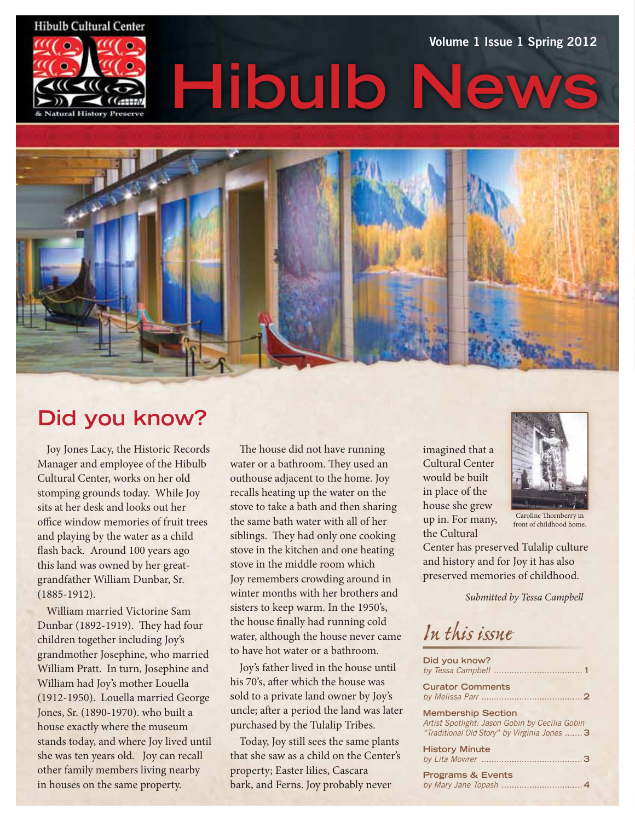#### **Hibulb Cultural Center**



# **Hibulb** Volume 1 Issue 1 Spring 2012



# **Did you know?**

Joy Jones Lacy, the Historic Records Manager and employee of the Hibulb Cultural Center, works on her old stomping grounds today. While Joy sits at her desk and looks out her office window memories of fruit trees and playing by the water as a child flash back. Around 100 years ago this land was owned by her greatgrandfather William Dunbar, Sr. (1885-1912).

William married Victorine Sam Dunbar (1892-1919). They had four children together including Joy's grandmother Josephine, who married William Pratt. In turn, Josephine and William had Joy's mother Louella (1912-1950). Louella married George Jones, Sr. (1890-1970). who built a house exactly where the museum stands today, and where Joy lived until she was ten years old. Joy can recall other family members living nearby in houses on the same property.

The house did not have running water or a bathroom. They used an outhouse adjacent to the home. Joy recalls heating up the water on the stove to take a bath and then sharing the same bath water with all of her siblings. They had only one cooking stove in the kitchen and one heating stove in the middle room which Joy remembers crowding around in winter months with her brothers and sisters to keep warm. In the 1950's, the house finally had running cold water, although the house never came to have hot water or a bathroom.

Joy's father lived in the house until his 70's, after which the house was sold to a private land owner by Joy's uncle; after a period the land was later purchased by the Tulalip Tribes.

Today, Joy still sees the same plants that she saw as a child on the Center's property; Easter lilies, Cascara bark, and Ferns. Joy probably never

imagined that a Cultural Center would be built in place of the house she grew up in. For many, the Cultural



Caroline Thornberry in front of childhood home.

Center has preserved Tulalip culture and history and for Joy it has also preserved memories of childhood.

*Submitted by Tessa Campbell* 

*In this issue*

| Did you know?                                                                                                               |
|-----------------------------------------------------------------------------------------------------------------------------|
| <b>Curator Comments</b>                                                                                                     |
| <b>Membership Section</b><br>Artist Spotlight: Jason Gobin by Cecilia Gobin<br>"Traditional Old Story" by Virginia Jones  3 |
| <b>History Minute</b>                                                                                                       |
| <b>Programs &amp; Events</b>                                                                                                |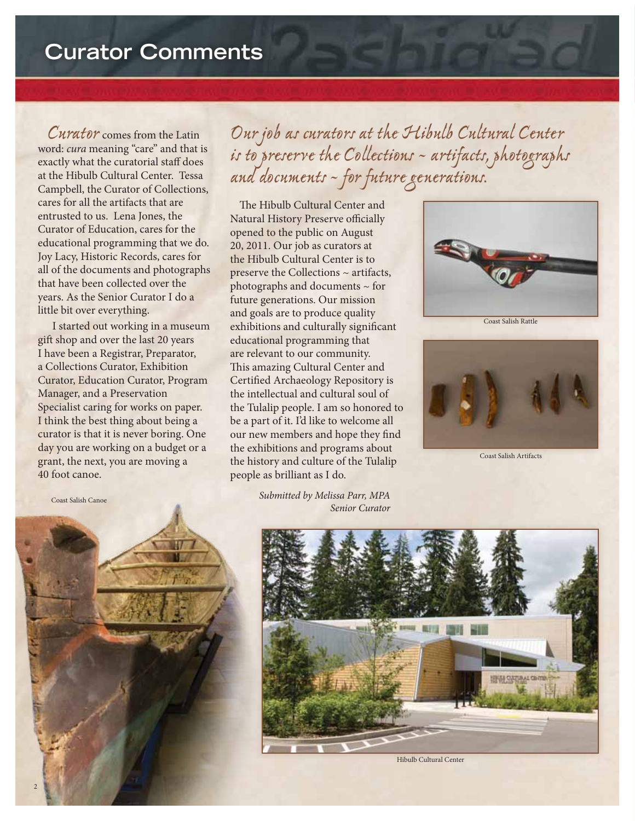# **Curator Comments**

*Curator* comes from the Latin word: *cura* meaning "care" and that is exactly what the curatorial staff does at the Hibulb Cultural Center. Tessa Campbell, the Curator of Collections, cares for all the artifacts that are entrusted to us. Lena Jones, the Curator of Education, cares for the educational programming that we do. Joy Lacy, Historic Records, cares for all of the documents and photographs that have been collected over the years. As the Senior Curator I do a little bit over everything.

 I started out working in a museum gift shop and over the last 20 years I have been a Registrar, Preparator, a Collections Curator, Exhibition Curator, Education Curator, Program Manager, and a Preservation Specialist caring for works on paper. I think the best thing about being a curator is that it is never boring. One day you are working on a budget or a grant, the next, you are moving a 40 foot canoe.

Coast Salish Canoe

*Our job as curators at the Hibulb Cultural Center is to preserve the Collections ~ artifacts, photographs and documents ~ for future generations.*

The Hibulb Cultural Center and Natural History Preserve officially opened to the public on August 20, 2011. Our job as curators at the Hibulb Cultural Center is to preserve the Collections ~ artifacts, photographs and documents ~ for future generations. Our mission and goals are to produce quality exhibitions and culturally significant educational programming that are relevant to our community. This amazing Cultural Center and Certified Archaeology Repository is the intellectual and cultural soul of the Tulalip people. I am so honored to be a part of it. I'd like to welcome all our new members and hope they find the exhibitions and programs about the history and culture of the Tulalip people as brilliant as I do.



Coast Salish Rattle



Coast Salish Artifacts



*Submitted by Melissa Parr, MPA Senior Curator* 



Hibulb Cultural Center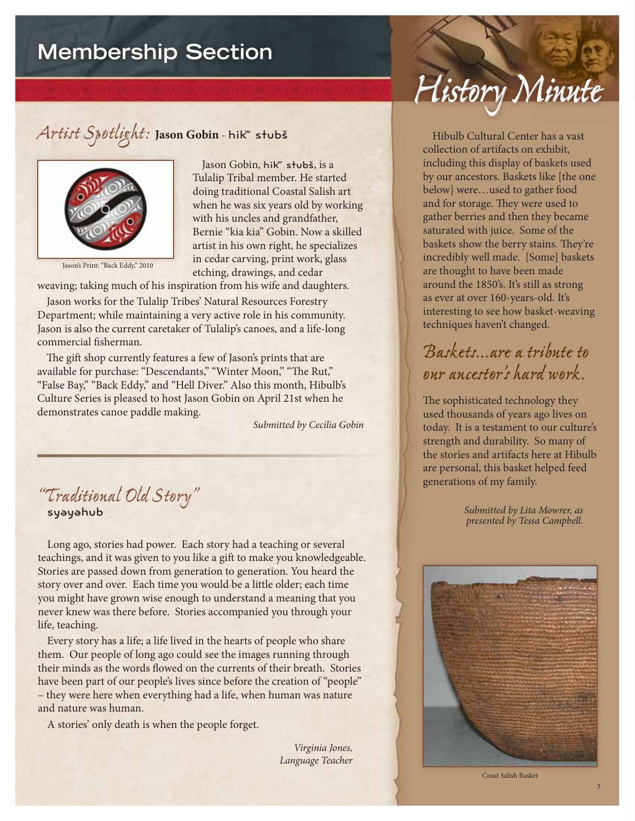# **Membership Section**

## *Artist Spotlight:* **Jason Gobin** - hikʷ stubš



Jason's Print: "Back Eddy," 2010

Jason Gobin, hik" stubš, is a Tulalip Tribal member. He started doing traditional Coastal Salish art when he was six years old by working with his uncles and grandfather, Bernie "kia kia" Gobin. Now a skilled artist in his own right, he specializes in cedar carving, print work, glass etching, drawings, and cedar

weaving; taking much of his inspiration from his wife and daughters.

Jason works for the Tulalip Tribes' Natural Resources Forestry Department; while maintaining a very active role in his community. Jason is also the current caretaker of Tulalip's canoes, and a life-long commercial fisherman.

The gift shop currently features a few of Jason's prints that are available for purchase: "Descendants," "Winter Moon," "The Rut," "False Bay," "Back Eddy," and "Hell Diver." Also this month, Hibulb's Culture Series is pleased to host Jason Gobin on April 21st when he demonstrates canoe paddle making.

*Submitted by Cecilia Gobin*

#### *"Traditional Old Story"* syəyəhub

Long ago, stories had power. Each story had a teaching or several teachings, and it was given to you like a gift to make you knowledgeable. Stories are passed down from generation to generation. You heard the story over and over. Each time you would be a little older; each time you might have grown wise enough to understand a meaning that you never knew was there before. Stories accompanied you through your life, teaching.

Every story has a life; a life lived in the hearts of people who share them. Our people of long ago could see the images running through their minds as the words flowed on the currents of their breath. Stories have been part of our people's lives since before the creation of "people" – they were here when everything had a life, when human was nature and nature was human.

A stories' only death is when the people forget.

*Virginia Jones, Language Teacher*

# *History Minute*

Hibulb Cultural Center has a vast collection of artifacts on exhibit, including this display of baskets used by our ancestors. Baskets like [the one below] were…used to gather food and for storage. They were used to gather berries and then they became saturated with juice. Some of the baskets show the berry stains. They're incredibly well made. [Some] baskets are thought to have been made around the 1850's. It's still as strong as ever at over 160-years-old. It's interesting to see how basket-weaving techniques haven't changed.

## *Baskets…are a tribute to our ancestor's hard work.*

The sophisticated technology they used thousands of years ago lives on today. It is a testament to our culture's strength and durability. So many of the stories and artifacts here at Hibulb are personal, this basket helped feed generations of my family.

> *Submitted by Lita Mowrer, as presented by Tessa Campbell.*



Coast Salish Basket